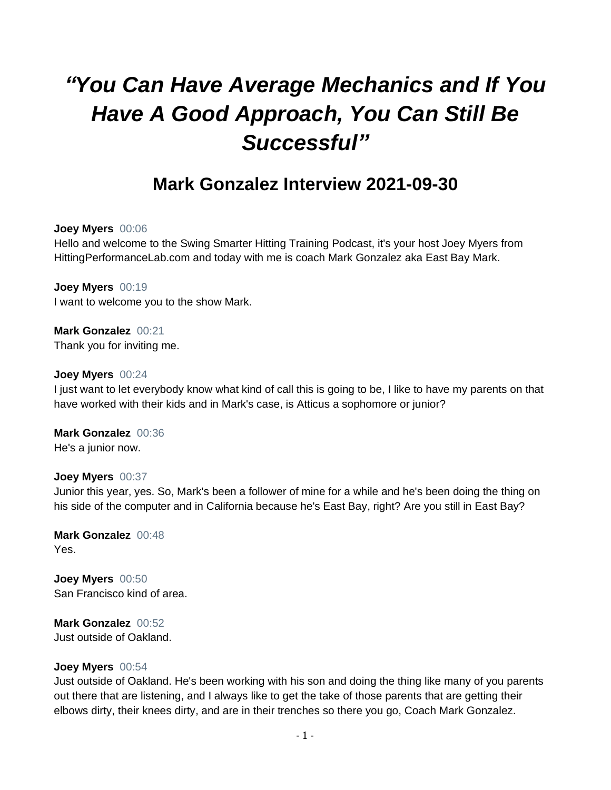# *"You Can Have Average Mechanics and If You Have A Good Approach, You Can Still Be Successful"*

# **Mark Gonzalez Interview 2021-09-30**

#### **Joey Myers** 00:06

Hello and welcome to the Swing Smarter Hitting Training Podcast, it's your host Joey Myers from HittingPerformanceLab.com and today with me is coach Mark Gonzalez aka East Bay Mark.

**Joey Myers** 00:19 I want to welcome you to the show Mark.

**Mark Gonzalez** 00:21 Thank you for inviting me.

#### **Joey Myers** 00:24

I just want to let everybody know what kind of call this is going to be, I like to have my parents on that have worked with their kids and in Mark's case, is Atticus a sophomore or junior?

**Mark Gonzalez** 00:36 He's a junior now.

### **Joey Myers** 00:37

Junior this year, yes. So, Mark's been a follower of mine for a while and he's been doing the thing on his side of the computer and in California because he's East Bay, right? Are you still in East Bay?

**Mark Gonzalez** 00:48 Yes.

**Joey Myers** 00:50 San Francisco kind of area.

**Mark Gonzalez** 00:52 Just outside of Oakland.

### **Joey Myers** 00:54

Just outside of Oakland. He's been working with his son and doing the thing like many of you parents out there that are listening, and I always like to get the take of those parents that are getting their elbows dirty, their knees dirty, and are in their trenches so there you go, Coach Mark Gonzalez.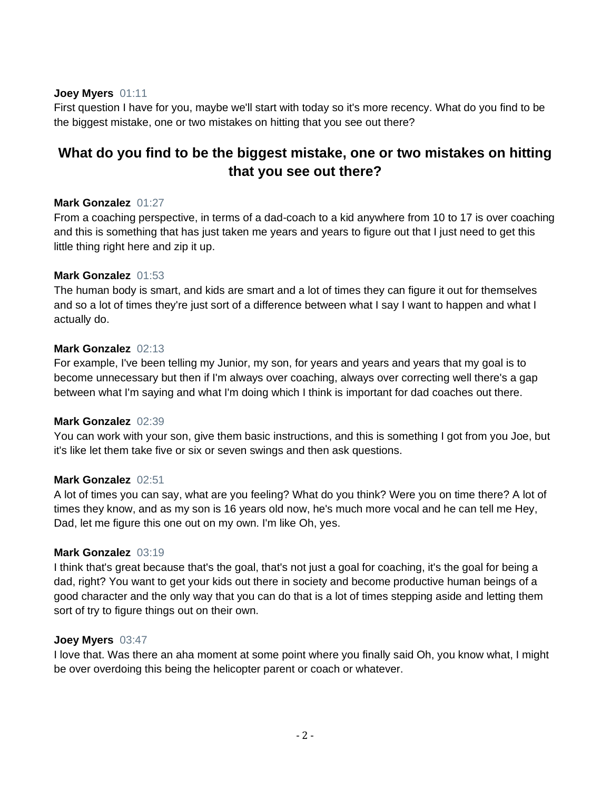#### **Joey Myers** 01:11

First question I have for you, maybe we'll start with today so it's more recency. What do you find to be the biggest mistake, one or two mistakes on hitting that you see out there?

# **What do you find to be the biggest mistake, one or two mistakes on hitting that you see out there?**

#### **Mark Gonzalez** 01:27

From a coaching perspective, in terms of a dad-coach to a kid anywhere from 10 to 17 is over coaching and this is something that has just taken me years and years to figure out that I just need to get this little thing right here and zip it up.

#### **Mark Gonzalez** 01:53

The human body is smart, and kids are smart and a lot of times they can figure it out for themselves and so a lot of times they're just sort of a difference between what I say I want to happen and what I actually do.

#### **Mark Gonzalez** 02:13

For example, I've been telling my Junior, my son, for years and years and years that my goal is to become unnecessary but then if I'm always over coaching, always over correcting well there's a gap between what I'm saying and what I'm doing which I think is important for dad coaches out there.

### **Mark Gonzalez** 02:39

You can work with your son, give them basic instructions, and this is something I got from you Joe, but it's like let them take five or six or seven swings and then ask questions.

### **Mark Gonzalez** 02:51

A lot of times you can say, what are you feeling? What do you think? Were you on time there? A lot of times they know, and as my son is 16 years old now, he's much more vocal and he can tell me Hey, Dad, let me figure this one out on my own. I'm like Oh, yes.

#### **Mark Gonzalez** 03:19

I think that's great because that's the goal, that's not just a goal for coaching, it's the goal for being a dad, right? You want to get your kids out there in society and become productive human beings of a good character and the only way that you can do that is a lot of times stepping aside and letting them sort of try to figure things out on their own.

#### **Joey Myers** 03:47

I love that. Was there an aha moment at some point where you finally said Oh, you know what, I might be over overdoing this being the helicopter parent or coach or whatever.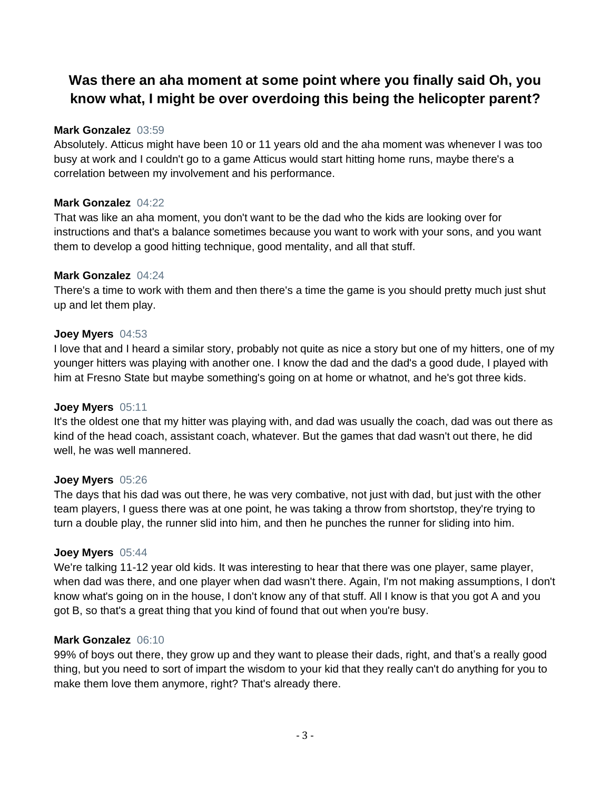# **Was there an aha moment at some point where you finally said Oh, you know what, I might be over overdoing this being the helicopter parent?**

### **Mark Gonzalez** 03:59

Absolutely. Atticus might have been 10 or 11 years old and the aha moment was whenever I was too busy at work and I couldn't go to a game Atticus would start hitting home runs, maybe there's a correlation between my involvement and his performance.

# **Mark Gonzalez** 04:22

That was like an aha moment, you don't want to be the dad who the kids are looking over for instructions and that's a balance sometimes because you want to work with your sons, and you want them to develop a good hitting technique, good mentality, and all that stuff.

# **Mark Gonzalez** 04:24

There's a time to work with them and then there's a time the game is you should pretty much just shut up and let them play.

# **Joey Myers** 04:53

I love that and I heard a similar story, probably not quite as nice a story but one of my hitters, one of my younger hitters was playing with another one. I know the dad and the dad's a good dude, I played with him at Fresno State but maybe something's going on at home or whatnot, and he's got three kids.

### **Joey Myers** 05:11

It's the oldest one that my hitter was playing with, and dad was usually the coach, dad was out there as kind of the head coach, assistant coach, whatever. But the games that dad wasn't out there, he did well, he was well mannered.

### **Joey Myers** 05:26

The days that his dad was out there, he was very combative, not just with dad, but just with the other team players, I guess there was at one point, he was taking a throw from shortstop, they're trying to turn a double play, the runner slid into him, and then he punches the runner for sliding into him.

### **Joey Myers** 05:44

We're talking 11-12 year old kids. It was interesting to hear that there was one player, same player, when dad was there, and one player when dad wasn't there. Again, I'm not making assumptions, I don't know what's going on in the house, I don't know any of that stuff. All I know is that you got A and you got B, so that's a great thing that you kind of found that out when you're busy.

# **Mark Gonzalez** 06:10

99% of boys out there, they grow up and they want to please their dads, right, and that's a really good thing, but you need to sort of impart the wisdom to your kid that they really can't do anything for you to make them love them anymore, right? That's already there.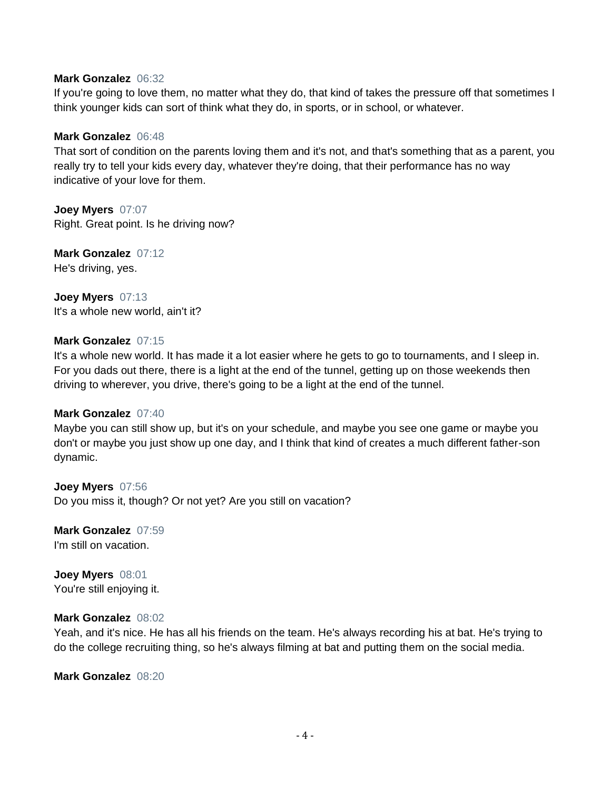#### **Mark Gonzalez** 06:32

If you're going to love them, no matter what they do, that kind of takes the pressure off that sometimes I think younger kids can sort of think what they do, in sports, or in school, or whatever.

#### **Mark Gonzalez** 06:48

That sort of condition on the parents loving them and it's not, and that's something that as a parent, you really try to tell your kids every day, whatever they're doing, that their performance has no way indicative of your love for them.

**Joey Myers** 07:07 Right. Great point. Is he driving now?

**Mark Gonzalez** 07:12 He's driving, yes.

**Joey Myers** 07:13 It's a whole new world, ain't it?

#### **Mark Gonzalez** 07:15

It's a whole new world. It has made it a lot easier where he gets to go to tournaments, and I sleep in. For you dads out there, there is a light at the end of the tunnel, getting up on those weekends then driving to wherever, you drive, there's going to be a light at the end of the tunnel.

#### **Mark Gonzalez** 07:40

Maybe you can still show up, but it's on your schedule, and maybe you see one game or maybe you don't or maybe you just show up one day, and I think that kind of creates a much different father-son dynamic.

**Joey Myers** 07:56 Do you miss it, though? Or not yet? Are you still on vacation?

**Mark Gonzalez** 07:59 I'm still on vacation.

**Joey Myers** 08:01 You're still enjoying it.

#### **Mark Gonzalez** 08:02

Yeah, and it's nice. He has all his friends on the team. He's always recording his at bat. He's trying to do the college recruiting thing, so he's always filming at bat and putting them on the social media.

**Mark Gonzalez** 08:20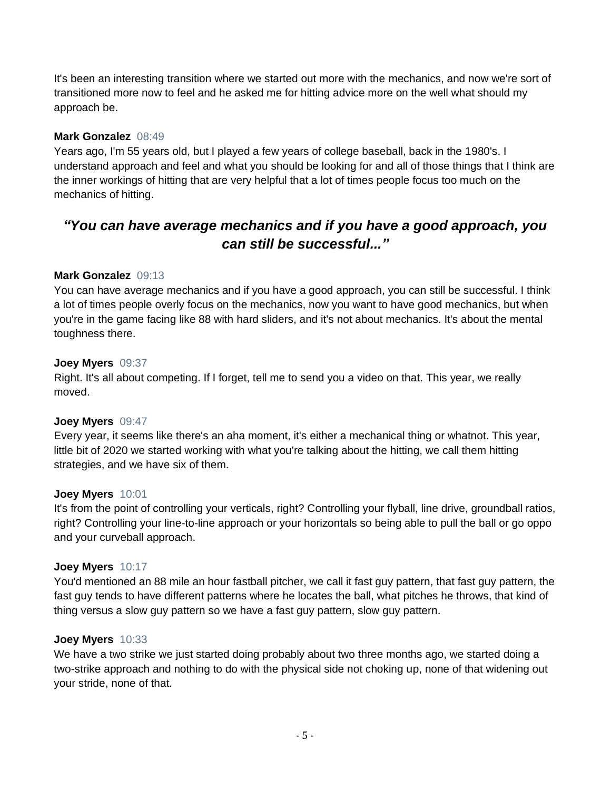It's been an interesting transition where we started out more with the mechanics, and now we're sort of transitioned more now to feel and he asked me for hitting advice more on the well what should my approach be.

# **Mark Gonzalez** 08:49

Years ago, I'm 55 years old, but I played a few years of college baseball, back in the 1980's. I understand approach and feel and what you should be looking for and all of those things that I think are the inner workings of hitting that are very helpful that a lot of times people focus too much on the mechanics of hitting.

# *"You can have average mechanics and if you have a good approach, you can still be successful..."*

# **Mark Gonzalez** 09:13

You can have average mechanics and if you have a good approach, you can still be successful. I think a lot of times people overly focus on the mechanics, now you want to have good mechanics, but when you're in the game facing like 88 with hard sliders, and it's not about mechanics. It's about the mental toughness there.

### **Joey Myers** 09:37

Right. It's all about competing. If I forget, tell me to send you a video on that. This year, we really moved.

### **Joey Myers** 09:47

Every year, it seems like there's an aha moment, it's either a mechanical thing or whatnot. This year, little bit of 2020 we started working with what you're talking about the hitting, we call them hitting strategies, and we have six of them.

### **Joey Myers** 10:01

It's from the point of controlling your verticals, right? Controlling your flyball, line drive, groundball ratios, right? Controlling your line-to-line approach or your horizontals so being able to pull the ball or go oppo and your curveball approach.

### **Joey Myers** 10:17

You'd mentioned an 88 mile an hour fastball pitcher, we call it fast guy pattern, that fast guy pattern, the fast guy tends to have different patterns where he locates the ball, what pitches he throws, that kind of thing versus a slow guy pattern so we have a fast guy pattern, slow guy pattern.

### **Joey Myers** 10:33

We have a two strike we just started doing probably about two three months ago, we started doing a two-strike approach and nothing to do with the physical side not choking up, none of that widening out your stride, none of that.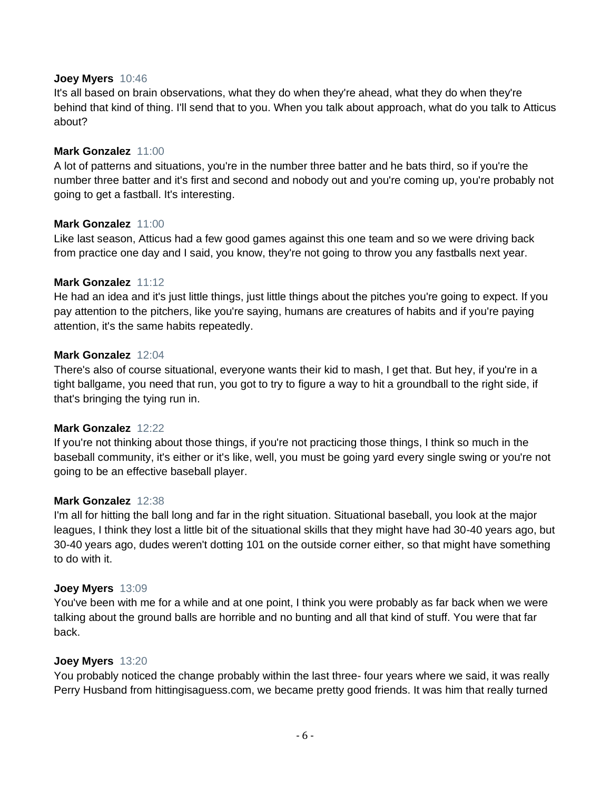#### **Joey Myers** 10:46

It's all based on brain observations, what they do when they're ahead, what they do when they're behind that kind of thing. I'll send that to you. When you talk about approach, what do you talk to Atticus about?

#### **Mark Gonzalez** 11:00

A lot of patterns and situations, you're in the number three batter and he bats third, so if you're the number three batter and it's first and second and nobody out and you're coming up, you're probably not going to get a fastball. It's interesting.

#### **Mark Gonzalez** 11:00

Like last season, Atticus had a few good games against this one team and so we were driving back from practice one day and I said, you know, they're not going to throw you any fastballs next year.

#### **Mark Gonzalez** 11:12

He had an idea and it's just little things, just little things about the pitches you're going to expect. If you pay attention to the pitchers, like you're saying, humans are creatures of habits and if you're paying attention, it's the same habits repeatedly.

#### **Mark Gonzalez** 12:04

There's also of course situational, everyone wants their kid to mash, I get that. But hey, if you're in a tight ballgame, you need that run, you got to try to figure a way to hit a groundball to the right side, if that's bringing the tying run in.

#### **Mark Gonzalez** 12:22

If you're not thinking about those things, if you're not practicing those things, I think so much in the baseball community, it's either or it's like, well, you must be going yard every single swing or you're not going to be an effective baseball player.

#### **Mark Gonzalez** 12:38

I'm all for hitting the ball long and far in the right situation. Situational baseball, you look at the major leagues, I think they lost a little bit of the situational skills that they might have had 30-40 years ago, but 30-40 years ago, dudes weren't dotting 101 on the outside corner either, so that might have something to do with it.

#### **Joey Myers** 13:09

You've been with me for a while and at one point, I think you were probably as far back when we were talking about the ground balls are horrible and no bunting and all that kind of stuff. You were that far back.

#### **Joey Myers** 13:20

You probably noticed the change probably within the last three- four years where we said, it was really Perry Husband from hittingisaguess.com, we became pretty good friends. It was him that really turned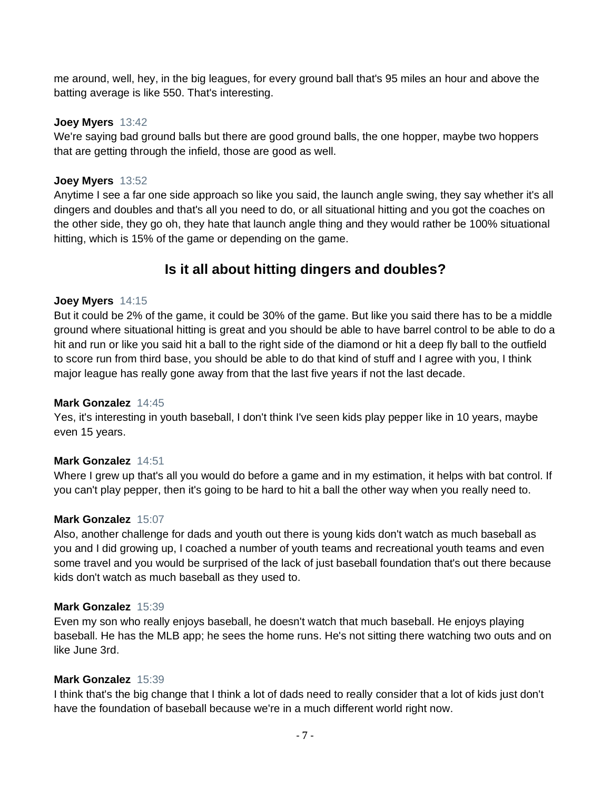me around, well, hey, in the big leagues, for every ground ball that's 95 miles an hour and above the batting average is like 550. That's interesting.

#### **Joey Myers** 13:42

We're saying bad ground balls but there are good ground balls, the one hopper, maybe two hoppers that are getting through the infield, those are good as well.

### **Joey Myers** 13:52

Anytime I see a far one side approach so like you said, the launch angle swing, they say whether it's all dingers and doubles and that's all you need to do, or all situational hitting and you got the coaches on the other side, they go oh, they hate that launch angle thing and they would rather be 100% situational hitting, which is 15% of the game or depending on the game.

# **Is it all about hitting dingers and doubles?**

#### **Joey Myers** 14:15

But it could be 2% of the game, it could be 30% of the game. But like you said there has to be a middle ground where situational hitting is great and you should be able to have barrel control to be able to do a hit and run or like you said hit a ball to the right side of the diamond or hit a deep fly ball to the outfield to score run from third base, you should be able to do that kind of stuff and I agree with you, I think major league has really gone away from that the last five years if not the last decade.

#### **Mark Gonzalez** 14:45

Yes, it's interesting in youth baseball, I don't think I've seen kids play pepper like in 10 years, maybe even 15 years.

#### **Mark Gonzalez** 14:51

Where I grew up that's all you would do before a game and in my estimation, it helps with bat control. If you can't play pepper, then it's going to be hard to hit a ball the other way when you really need to.

#### **Mark Gonzalez** 15:07

Also, another challenge for dads and youth out there is young kids don't watch as much baseball as you and I did growing up, I coached a number of youth teams and recreational youth teams and even some travel and you would be surprised of the lack of just baseball foundation that's out there because kids don't watch as much baseball as they used to.

#### **Mark Gonzalez** 15:39

Even my son who really enjoys baseball, he doesn't watch that much baseball. He enjoys playing baseball. He has the MLB app; he sees the home runs. He's not sitting there watching two outs and on like June 3rd.

#### **Mark Gonzalez** 15:39

I think that's the big change that I think a lot of dads need to really consider that a lot of kids just don't have the foundation of baseball because we're in a much different world right now.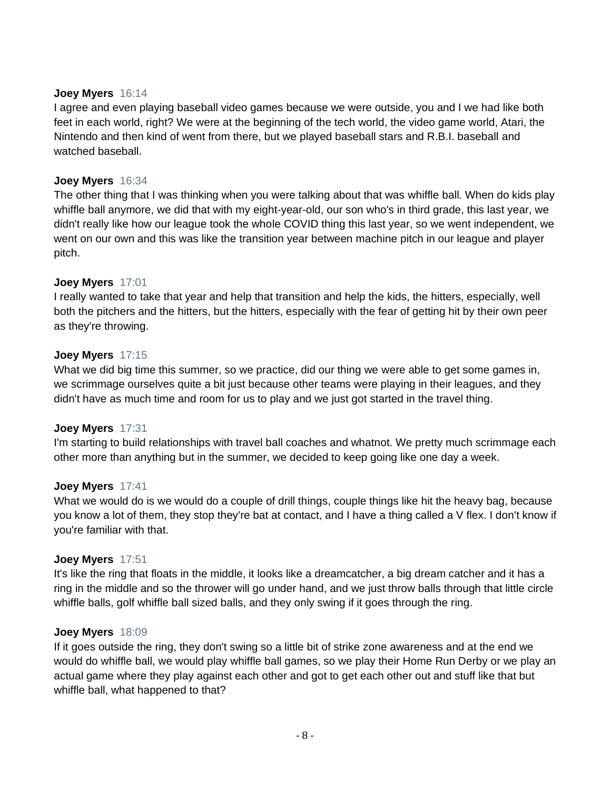#### **Joey Myers** 16:14

I agree and even playing baseball video games because we were outside, you and I we had like both feet in each world, right? We were at the beginning of the tech world, the video game world, Atari, the Nintendo and then kind of went from there, but we played baseball stars and R.B.I. baseball and watched baseball.

# **Joey Myers** 16:34

The other thing that I was thinking when you were talking about that was whiffle ball. When do kids play whiffle ball anymore, we did that with my eight-year-old, our son who's in third grade, this last year, we didn't really like how our league took the whole COVID thing this last year, so we went independent, we went on our own and this was like the transition year between machine pitch in our league and player pitch.

### **Joey Myers** 17:01

I really wanted to take that year and help that transition and help the kids, the hitters, especially, well both the pitchers and the hitters, but the hitters, especially with the fear of getting hit by their own peer as they're throwing.

### **Joey Myers** 17:15

What we did big time this summer, so we practice, did our thing we were able to get some games in, we scrimmage ourselves quite a bit just because other teams were playing in their leagues, and they didn't have as much time and room for us to play and we just got started in the travel thing.

### **Joey Myers** 17:31

I'm starting to build relationships with travel ball coaches and whatnot. We pretty much scrimmage each other more than anything but in the summer, we decided to keep going like one day a week.

### **Joey Myers** 17:41

What we would do is we would do a couple of drill things, couple things like hit the heavy bag, because you know a lot of them, they stop they're bat at contact, and I have a thing called a V flex. I don't know if you're familiar with that.

### **Joey Myers** 17:51

It's like the ring that floats in the middle, it looks like a dreamcatcher, a big dream catcher and it has a ring in the middle and so the thrower will go under hand, and we just throw balls through that little circle whiffle balls, golf whiffle ball sized balls, and they only swing if it goes through the ring.

#### **Joey Myers** 18:09

If it goes outside the ring, they don't swing so a little bit of strike zone awareness and at the end we would do whiffle ball, we would play whiffle ball games, so we play their Home Run Derby or we play an actual game where they play against each other and got to get each other out and stuff like that but whiffle ball, what happened to that?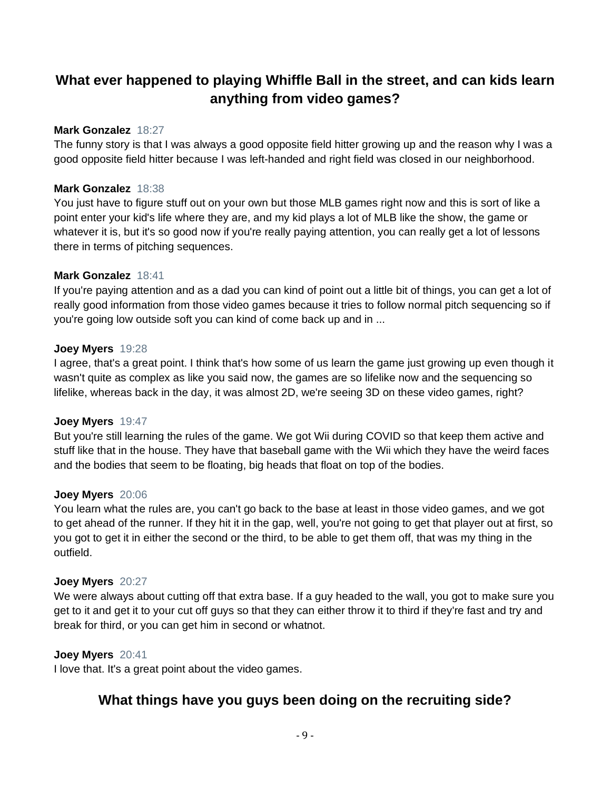# **What ever happened to playing Whiffle Ball in the street, and can kids learn anything from video games?**

### **Mark Gonzalez** 18:27

The funny story is that I was always a good opposite field hitter growing up and the reason why I was a good opposite field hitter because I was left-handed and right field was closed in our neighborhood.

#### **Mark Gonzalez** 18:38

You just have to figure stuff out on your own but those MLB games right now and this is sort of like a point enter your kid's life where they are, and my kid plays a lot of MLB like the show, the game or whatever it is, but it's so good now if you're really paying attention, you can really get a lot of lessons there in terms of pitching sequences.

#### **Mark Gonzalez** 18:41

If you're paying attention and as a dad you can kind of point out a little bit of things, you can get a lot of really good information from those video games because it tries to follow normal pitch sequencing so if you're going low outside soft you can kind of come back up and in ...

#### **Joey Myers** 19:28

I agree, that's a great point. I think that's how some of us learn the game just growing up even though it wasn't quite as complex as like you said now, the games are so lifelike now and the sequencing so lifelike, whereas back in the day, it was almost 2D, we're seeing 3D on these video games, right?

### **Joey Myers** 19:47

But you're still learning the rules of the game. We got Wii during COVID so that keep them active and stuff like that in the house. They have that baseball game with the Wii which they have the weird faces and the bodies that seem to be floating, big heads that float on top of the bodies.

#### **Joey Myers** 20:06

You learn what the rules are, you can't go back to the base at least in those video games, and we got to get ahead of the runner. If they hit it in the gap, well, you're not going to get that player out at first, so you got to get it in either the second or the third, to be able to get them off, that was my thing in the outfield.

#### **Joey Myers** 20:27

We were always about cutting off that extra base. If a guy headed to the wall, you got to make sure you get to it and get it to your cut off guys so that they can either throw it to third if they're fast and try and break for third, or you can get him in second or whatnot.

# **Joey Myers** 20:41

I love that. It's a great point about the video games.

# **What things have you guys been doing on the recruiting side?**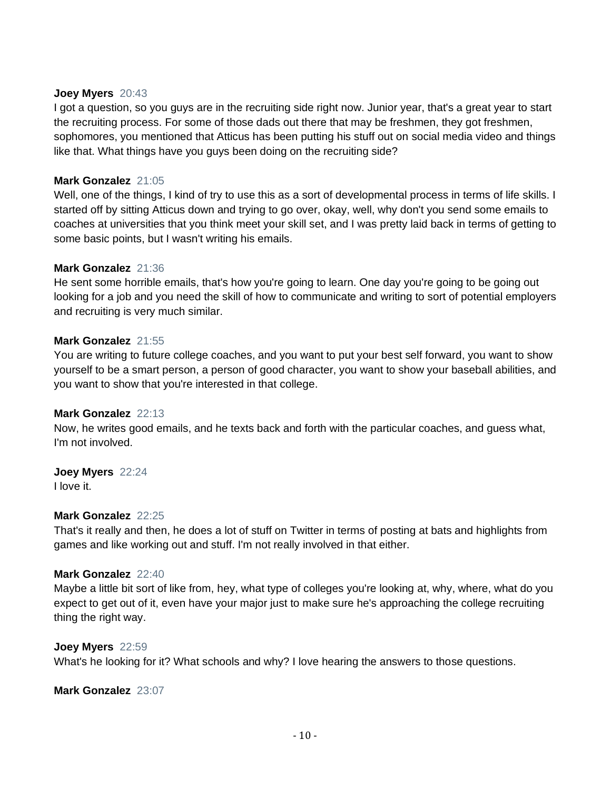#### **Joey Myers** 20:43

I got a question, so you guys are in the recruiting side right now. Junior year, that's a great year to start the recruiting process. For some of those dads out there that may be freshmen, they got freshmen, sophomores, you mentioned that Atticus has been putting his stuff out on social media video and things like that. What things have you guys been doing on the recruiting side?

# **Mark Gonzalez** 21:05

Well, one of the things, I kind of try to use this as a sort of developmental process in terms of life skills. I started off by sitting Atticus down and trying to go over, okay, well, why don't you send some emails to coaches at universities that you think meet your skill set, and I was pretty laid back in terms of getting to some basic points, but I wasn't writing his emails.

### **Mark Gonzalez** 21:36

He sent some horrible emails, that's how you're going to learn. One day you're going to be going out looking for a job and you need the skill of how to communicate and writing to sort of potential employers and recruiting is very much similar.

#### **Mark Gonzalez** 21:55

You are writing to future college coaches, and you want to put your best self forward, you want to show yourself to be a smart person, a person of good character, you want to show your baseball abilities, and you want to show that you're interested in that college.

#### **Mark Gonzalez** 22:13

Now, he writes good emails, and he texts back and forth with the particular coaches, and guess what, I'm not involved.

### **Joey Myers** 22:24

I love it.

# **Mark Gonzalez** 22:25

That's it really and then, he does a lot of stuff on Twitter in terms of posting at bats and highlights from games and like working out and stuff. I'm not really involved in that either.

#### **Mark Gonzalez** 22:40

Maybe a little bit sort of like from, hey, what type of colleges you're looking at, why, where, what do you expect to get out of it, even have your major just to make sure he's approaching the college recruiting thing the right way.

#### **Joey Myers** 22:59

What's he looking for it? What schools and why? I love hearing the answers to those questions.

#### **Mark Gonzalez** 23:07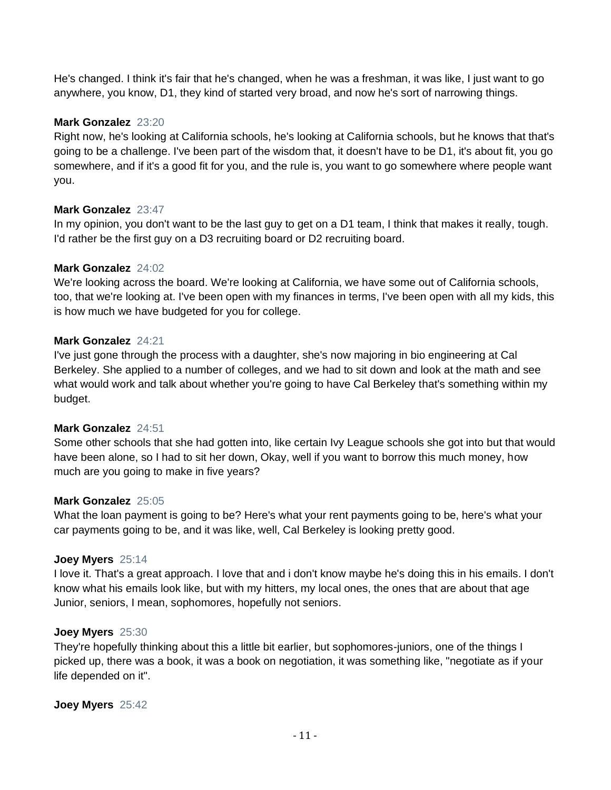He's changed. I think it's fair that he's changed, when he was a freshman, it was like, I just want to go anywhere, you know, D1, they kind of started very broad, and now he's sort of narrowing things.

### **Mark Gonzalez** 23:20

Right now, he's looking at California schools, he's looking at California schools, but he knows that that's going to be a challenge. I've been part of the wisdom that, it doesn't have to be D1, it's about fit, you go somewhere, and if it's a good fit for you, and the rule is, you want to go somewhere where people want you.

# **Mark Gonzalez** 23:47

In my opinion, you don't want to be the last guy to get on a D1 team, I think that makes it really, tough. I'd rather be the first guy on a D3 recruiting board or D2 recruiting board.

### **Mark Gonzalez** 24:02

We're looking across the board. We're looking at California, we have some out of California schools, too, that we're looking at. I've been open with my finances in terms, I've been open with all my kids, this is how much we have budgeted for you for college.

### **Mark Gonzalez** 24:21

I've just gone through the process with a daughter, she's now majoring in bio engineering at Cal Berkeley. She applied to a number of colleges, and we had to sit down and look at the math and see what would work and talk about whether you're going to have Cal Berkeley that's something within my budget.

### **Mark Gonzalez** 24:51

Some other schools that she had gotten into, like certain Ivy League schools she got into but that would have been alone, so I had to sit her down, Okay, well if you want to borrow this much money, how much are you going to make in five years?

### **Mark Gonzalez** 25:05

What the loan payment is going to be? Here's what your rent payments going to be, here's what your car payments going to be, and it was like, well, Cal Berkeley is looking pretty good.

### **Joey Myers** 25:14

I love it. That's a great approach. I love that and i don't know maybe he's doing this in his emails. I don't know what his emails look like, but with my hitters, my local ones, the ones that are about that age Junior, seniors, I mean, sophomores, hopefully not seniors.

### **Joey Myers** 25:30

They're hopefully thinking about this a little bit earlier, but sophomores-juniors, one of the things I picked up, there was a book, it was a book on negotiation, it was something like, "negotiate as if your life depended on it".

**Joey Myers** 25:42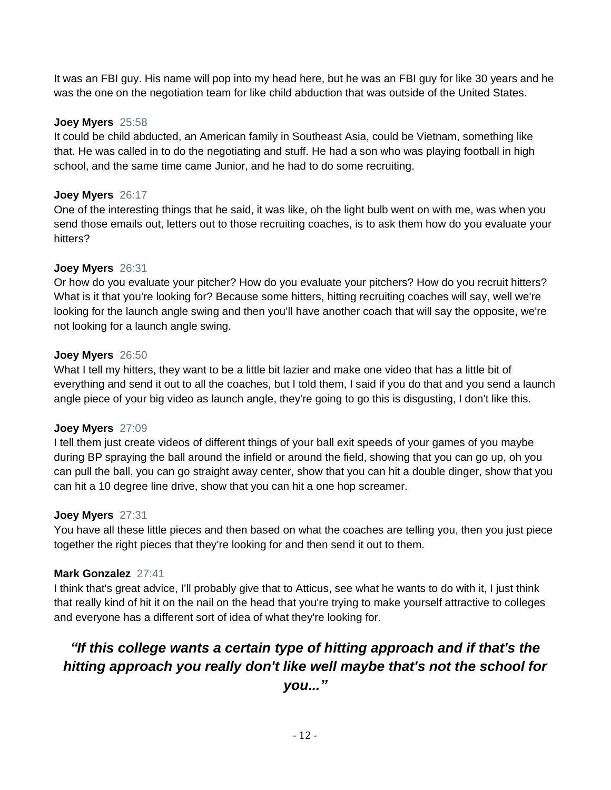It was an FBI guy. His name will pop into my head here, but he was an FBI guy for like 30 years and he was the one on the negotiation team for like child abduction that was outside of the United States.

# **Joey Myers** 25:58

It could be child abducted, an American family in Southeast Asia, could be Vietnam, something like that. He was called in to do the negotiating and stuff. He had a son who was playing football in high school, and the same time came Junior, and he had to do some recruiting.

# **Joey Myers** 26:17

One of the interesting things that he said, it was like, oh the light bulb went on with me, was when you send those emails out, letters out to those recruiting coaches, is to ask them how do you evaluate your hitters?

# **Joey Myers** 26:31

Or how do you evaluate your pitcher? How do you evaluate your pitchers? How do you recruit hitters? What is it that you're looking for? Because some hitters, hitting recruiting coaches will say, well we're looking for the launch angle swing and then you'll have another coach that will say the opposite, we're not looking for a launch angle swing.

# **Joey Myers** 26:50

What I tell my hitters, they want to be a little bit lazier and make one video that has a little bit of everything and send it out to all the coaches, but I told them, I said if you do that and you send a launch angle piece of your big video as launch angle, they're going to go this is disgusting, I don't like this.

# **Joey Myers** 27:09

I tell them just create videos of different things of your ball exit speeds of your games of you maybe during BP spraying the ball around the infield or around the field, showing that you can go up, oh you can pull the ball, you can go straight away center, show that you can hit a double dinger, show that you can hit a 10 degree line drive, show that you can hit a one hop screamer.

### **Joey Myers** 27:31

You have all these little pieces and then based on what the coaches are telling you, then you just piece together the right pieces that they're looking for and then send it out to them.

# **Mark Gonzalez** 27:41

I think that's great advice, I'll probably give that to Atticus, see what he wants to do with it, I just think that really kind of hit it on the nail on the head that you're trying to make yourself attractive to colleges and everyone has a different sort of idea of what they're looking for.

# *"If this college wants a certain type of hitting approach and if that's the hitting approach you really don't like well maybe that's not the school for*

*you..."*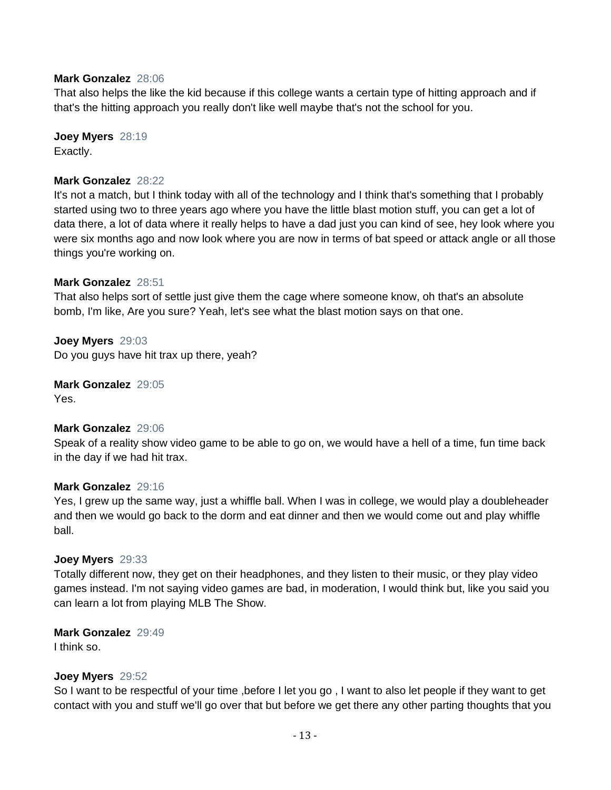#### **Mark Gonzalez** 28:06

That also helps the like the kid because if this college wants a certain type of hitting approach and if that's the hitting approach you really don't like well maybe that's not the school for you.

**Joey Myers** 28:19 Exactly.

#### **Mark Gonzalez** 28:22

It's not a match, but I think today with all of the technology and I think that's something that I probably started using two to three years ago where you have the little blast motion stuff, you can get a lot of data there, a lot of data where it really helps to have a dad just you can kind of see, hey look where you were six months ago and now look where you are now in terms of bat speed or attack angle or all those things you're working on.

#### **Mark Gonzalez** 28:51

That also helps sort of settle just give them the cage where someone know, oh that's an absolute bomb, I'm like, Are you sure? Yeah, let's see what the blast motion says on that one.

**Joey Myers** 29:03 Do you guys have hit trax up there, yeah?

**Mark Gonzalez** 29:05 Yes.

#### **Mark Gonzalez** 29:06

Speak of a reality show video game to be able to go on, we would have a hell of a time, fun time back in the day if we had hit trax.

#### **Mark Gonzalez** 29:16

Yes, I grew up the same way, just a whiffle ball. When I was in college, we would play a doubleheader and then we would go back to the dorm and eat dinner and then we would come out and play whiffle ball.

#### **Joey Myers** 29:33

Totally different now, they get on their headphones, and they listen to their music, or they play video games instead. I'm not saying video games are bad, in moderation, I would think but, like you said you can learn a lot from playing MLB The Show.

#### **Mark Gonzalez** 29:49

I think so.

#### **Joey Myers** 29:52

So I want to be respectful of your time ,before I let you go , I want to also let people if they want to get contact with you and stuff we'll go over that but before we get there any other parting thoughts that you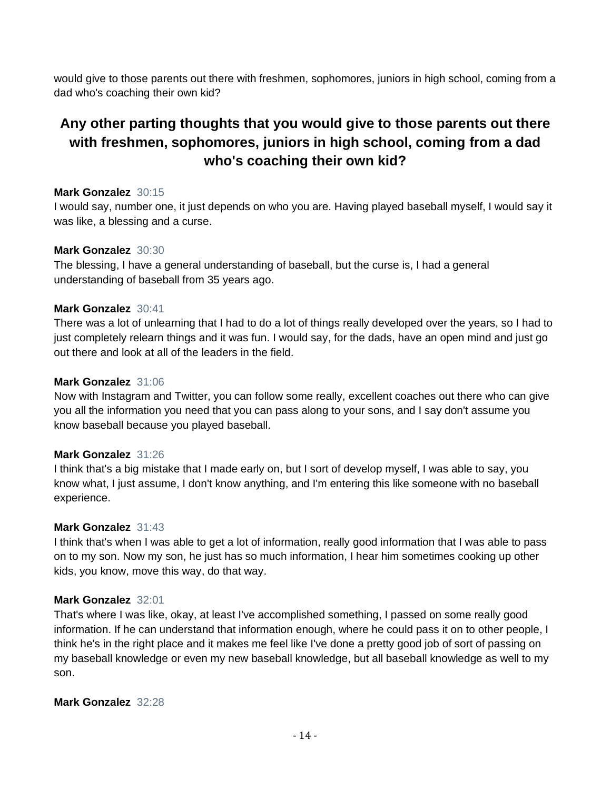would give to those parents out there with freshmen, sophomores, juniors in high school, coming from a dad who's coaching their own kid?

# **Any other parting thoughts that you would give to those parents out there with freshmen, sophomores, juniors in high school, coming from a dad who's coaching their own kid?**

# **Mark Gonzalez** 30:15

I would say, number one, it just depends on who you are. Having played baseball myself, I would say it was like, a blessing and a curse.

# **Mark Gonzalez** 30:30

The blessing, I have a general understanding of baseball, but the curse is, I had a general understanding of baseball from 35 years ago.

# **Mark Gonzalez** 30:41

There was a lot of unlearning that I had to do a lot of things really developed over the years, so I had to just completely relearn things and it was fun. I would say, for the dads, have an open mind and just go out there and look at all of the leaders in the field.

# **Mark Gonzalez** 31:06

Now with Instagram and Twitter, you can follow some really, excellent coaches out there who can give you all the information you need that you can pass along to your sons, and I say don't assume you know baseball because you played baseball.

### **Mark Gonzalez** 31:26

I think that's a big mistake that I made early on, but I sort of develop myself, I was able to say, you know what, I just assume, I don't know anything, and I'm entering this like someone with no baseball experience.

### **Mark Gonzalez** 31:43

I think that's when I was able to get a lot of information, really good information that I was able to pass on to my son. Now my son, he just has so much information, I hear him sometimes cooking up other kids, you know, move this way, do that way.

### **Mark Gonzalez** 32:01

That's where I was like, okay, at least I've accomplished something, I passed on some really good information. If he can understand that information enough, where he could pass it on to other people, I think he's in the right place and it makes me feel like I've done a pretty good job of sort of passing on my baseball knowledge or even my new baseball knowledge, but all baseball knowledge as well to my son.

# **Mark Gonzalez** 32:28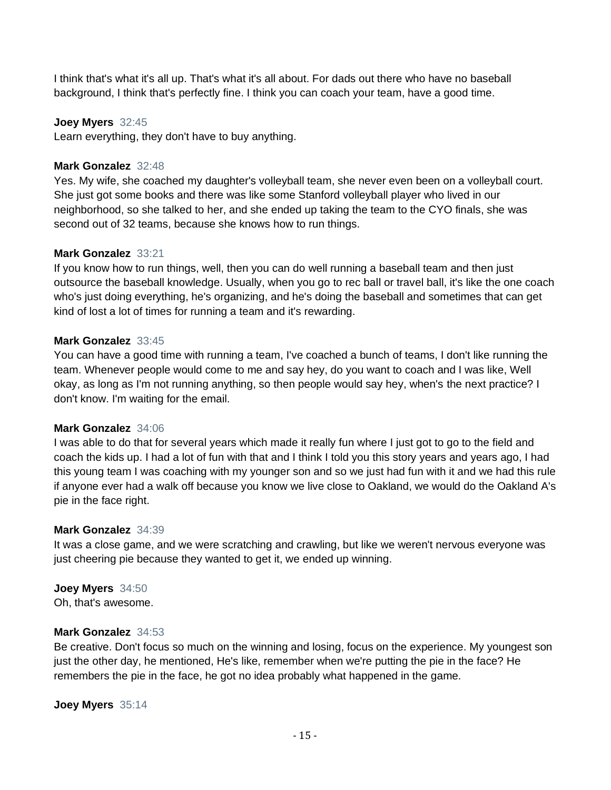I think that's what it's all up. That's what it's all about. For dads out there who have no baseball background, I think that's perfectly fine. I think you can coach your team, have a good time.

#### **Joey Myers** 32:45

Learn everything, they don't have to buy anything.

#### **Mark Gonzalez** 32:48

Yes. My wife, she coached my daughter's volleyball team, she never even been on a volleyball court. She just got some books and there was like some Stanford volleyball player who lived in our neighborhood, so she talked to her, and she ended up taking the team to the CYO finals, she was second out of 32 teams, because she knows how to run things.

#### **Mark Gonzalez** 33:21

If you know how to run things, well, then you can do well running a baseball team and then just outsource the baseball knowledge. Usually, when you go to rec ball or travel ball, it's like the one coach who's just doing everything, he's organizing, and he's doing the baseball and sometimes that can get kind of lost a lot of times for running a team and it's rewarding.

#### **Mark Gonzalez** 33:45

You can have a good time with running a team, I've coached a bunch of teams, I don't like running the team. Whenever people would come to me and say hey, do you want to coach and I was like, Well okay, as long as I'm not running anything, so then people would say hey, when's the next practice? I don't know. I'm waiting for the email.

#### **Mark Gonzalez** 34:06

I was able to do that for several years which made it really fun where I just got to go to the field and coach the kids up. I had a lot of fun with that and I think I told you this story years and years ago, I had this young team I was coaching with my younger son and so we just had fun with it and we had this rule if anyone ever had a walk off because you know we live close to Oakland, we would do the Oakland A's pie in the face right.

#### **Mark Gonzalez** 34:39

It was a close game, and we were scratching and crawling, but like we weren't nervous everyone was just cheering pie because they wanted to get it, we ended up winning.

### **Joey Myers** 34:50

Oh, that's awesome.

#### **Mark Gonzalez** 34:53

Be creative. Don't focus so much on the winning and losing, focus on the experience. My youngest son just the other day, he mentioned, He's like, remember when we're putting the pie in the face? He remembers the pie in the face, he got no idea probably what happened in the game.

**Joey Myers** 35:14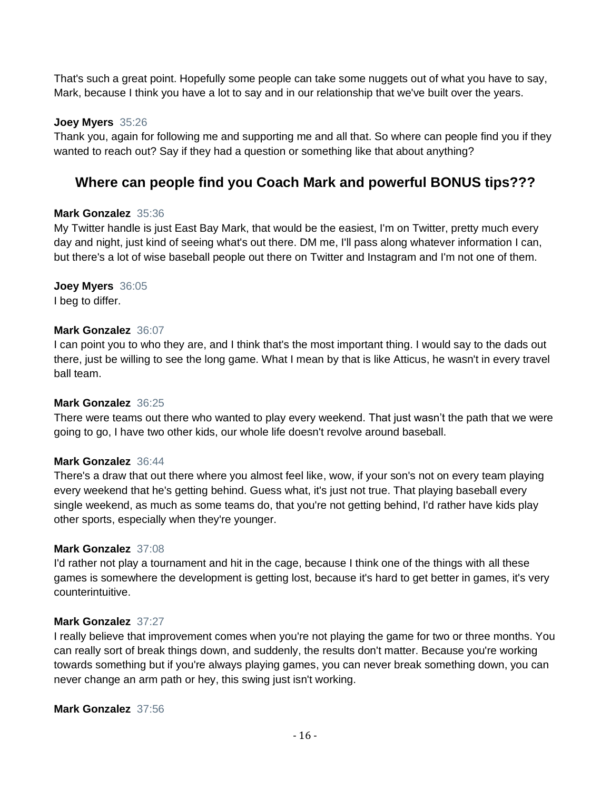That's such a great point. Hopefully some people can take some nuggets out of what you have to say, Mark, because I think you have a lot to say and in our relationship that we've built over the years.

#### **Joey Myers** 35:26

Thank you, again for following me and supporting me and all that. So where can people find you if they wanted to reach out? Say if they had a question or something like that about anything?

# **Where can people find you Coach Mark and powerful BONUS tips???**

### **Mark Gonzalez** 35:36

My Twitter handle is just East Bay Mark, that would be the easiest, I'm on Twitter, pretty much every day and night, just kind of seeing what's out there. DM me, I'll pass along whatever information I can, but there's a lot of wise baseball people out there on Twitter and Instagram and I'm not one of them.

# **Joey Myers** 36:05

I beg to differ.

#### **Mark Gonzalez** 36:07

I can point you to who they are, and I think that's the most important thing. I would say to the dads out there, just be willing to see the long game. What I mean by that is like Atticus, he wasn't in every travel ball team.

### **Mark Gonzalez** 36:25

There were teams out there who wanted to play every weekend. That just wasn't the path that we were going to go, I have two other kids, our whole life doesn't revolve around baseball.

### **Mark Gonzalez** 36:44

There's a draw that out there where you almost feel like, wow, if your son's not on every team playing every weekend that he's getting behind. Guess what, it's just not true. That playing baseball every single weekend, as much as some teams do, that you're not getting behind, I'd rather have kids play other sports, especially when they're younger.

### **Mark Gonzalez** 37:08

I'd rather not play a tournament and hit in the cage, because I think one of the things with all these games is somewhere the development is getting lost, because it's hard to get better in games, it's very counterintuitive.

#### **Mark Gonzalez** 37:27

I really believe that improvement comes when you're not playing the game for two or three months. You can really sort of break things down, and suddenly, the results don't matter. Because you're working towards something but if you're always playing games, you can never break something down, you can never change an arm path or hey, this swing just isn't working.

#### **Mark Gonzalez** 37:56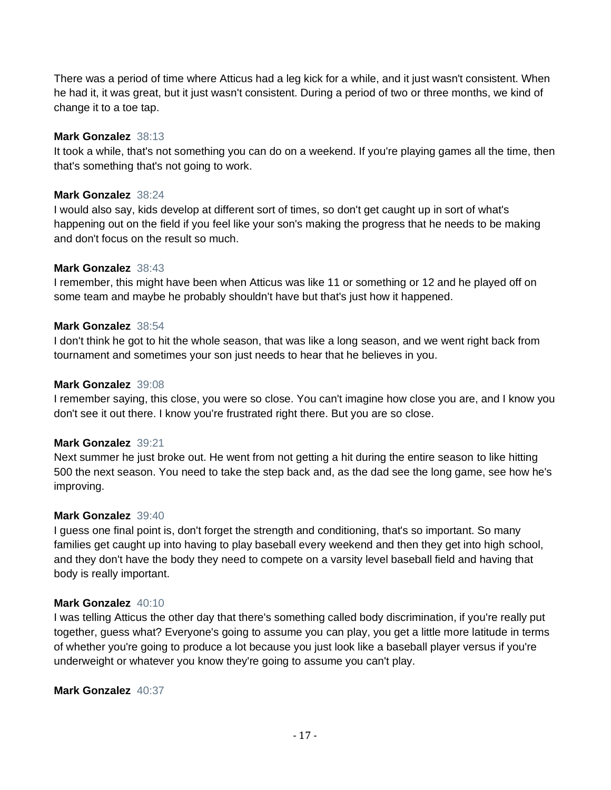There was a period of time where Atticus had a leg kick for a while, and it just wasn't consistent. When he had it, it was great, but it just wasn't consistent. During a period of two or three months, we kind of change it to a toe tap.

# **Mark Gonzalez** 38:13

It took a while, that's not something you can do on a weekend. If you're playing games all the time, then that's something that's not going to work.

# **Mark Gonzalez** 38:24

I would also say, kids develop at different sort of times, so don't get caught up in sort of what's happening out on the field if you feel like your son's making the progress that he needs to be making and don't focus on the result so much.

# **Mark Gonzalez** 38:43

I remember, this might have been when Atticus was like 11 or something or 12 and he played off on some team and maybe he probably shouldn't have but that's just how it happened.

# **Mark Gonzalez** 38:54

I don't think he got to hit the whole season, that was like a long season, and we went right back from tournament and sometimes your son just needs to hear that he believes in you.

# **Mark Gonzalez** 39:08

I remember saying, this close, you were so close. You can't imagine how close you are, and I know you don't see it out there. I know you're frustrated right there. But you are so close.

### **Mark Gonzalez** 39:21

Next summer he just broke out. He went from not getting a hit during the entire season to like hitting 500 the next season. You need to take the step back and, as the dad see the long game, see how he's improving.

# **Mark Gonzalez** 39:40

I guess one final point is, don't forget the strength and conditioning, that's so important. So many families get caught up into having to play baseball every weekend and then they get into high school, and they don't have the body they need to compete on a varsity level baseball field and having that body is really important.

# **Mark Gonzalez** 40:10

I was telling Atticus the other day that there's something called body discrimination, if you're really put together, guess what? Everyone's going to assume you can play, you get a little more latitude in terms of whether you're going to produce a lot because you just look like a baseball player versus if you're underweight or whatever you know they're going to assume you can't play.

### **Mark Gonzalez** 40:37